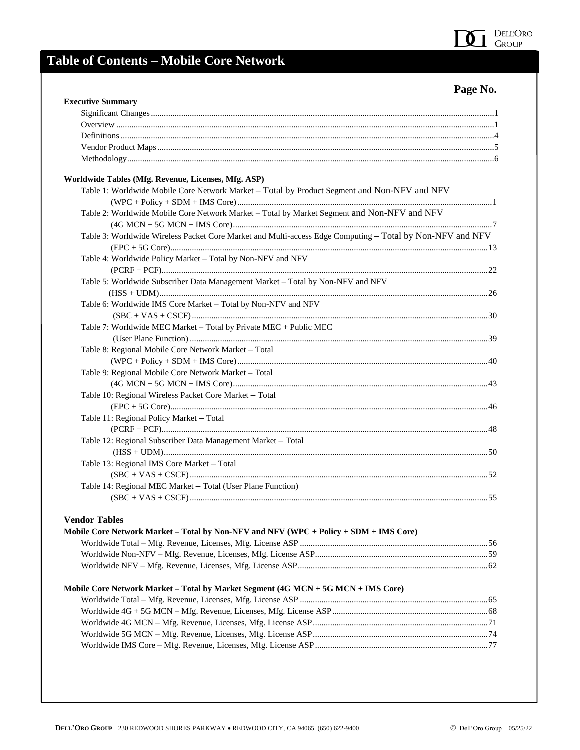

## **Table of Contents – Mobile Core Network**

#### **Page No.**

| <b>Executive Summary</b>                                                                                  |  |
|-----------------------------------------------------------------------------------------------------------|--|
|                                                                                                           |  |
|                                                                                                           |  |
|                                                                                                           |  |
|                                                                                                           |  |
|                                                                                                           |  |
| Worldwide Tables (Mfg. Revenue, Licenses, Mfg. ASP)                                                       |  |
| Table 1: Worldwide Mobile Core Network Market - Total by Product Segment and Non-NFV and NFV              |  |
|                                                                                                           |  |
| Table 2: Worldwide Mobile Core Network Market - Total by Market Segment and Non-NFV and NFV               |  |
| Table 3: Worldwide Wireless Packet Core Market and Multi-access Edge Computing - Total by Non-NFV and NFV |  |
|                                                                                                           |  |
|                                                                                                           |  |
| Table 4: Worldwide Policy Market - Total by Non-NFV and NFV                                               |  |
|                                                                                                           |  |
| Table 5: Worldwide Subscriber Data Management Market - Total by Non-NFV and NFV                           |  |
|                                                                                                           |  |
| Table 6: Worldwide IMS Core Market - Total by Non-NFV and NFV                                             |  |
|                                                                                                           |  |
| Table 7: Worldwide MEC Market - Total by Private MEC + Public MEC                                         |  |
|                                                                                                           |  |
| Table 8: Regional Mobile Core Network Market - Total                                                      |  |
|                                                                                                           |  |
| Table 9: Regional Mobile Core Network Market - Total                                                      |  |
|                                                                                                           |  |
| Table 10: Regional Wireless Packet Core Market - Total                                                    |  |
|                                                                                                           |  |
| Table 11: Regional Policy Market - Total                                                                  |  |
|                                                                                                           |  |
| Table 12: Regional Subscriber Data Management Market - Total                                              |  |
|                                                                                                           |  |
| Table 13: Regional IMS Core Market - Total                                                                |  |
|                                                                                                           |  |
| Table 14: Regional MEC Market - Total (User Plane Function)                                               |  |
|                                                                                                           |  |
| <b>Vendor Tables</b>                                                                                      |  |
| Mobile Core Network Market - Total by Non-NFV and NFV (WPC + Policy + SDM + IMS Core)                     |  |
|                                                                                                           |  |
|                                                                                                           |  |
|                                                                                                           |  |
| Mobile Core Network Market - Total by Market Segment (4G MCN + 5G MCN + IMS Core)                         |  |
|                                                                                                           |  |
|                                                                                                           |  |
|                                                                                                           |  |
|                                                                                                           |  |
|                                                                                                           |  |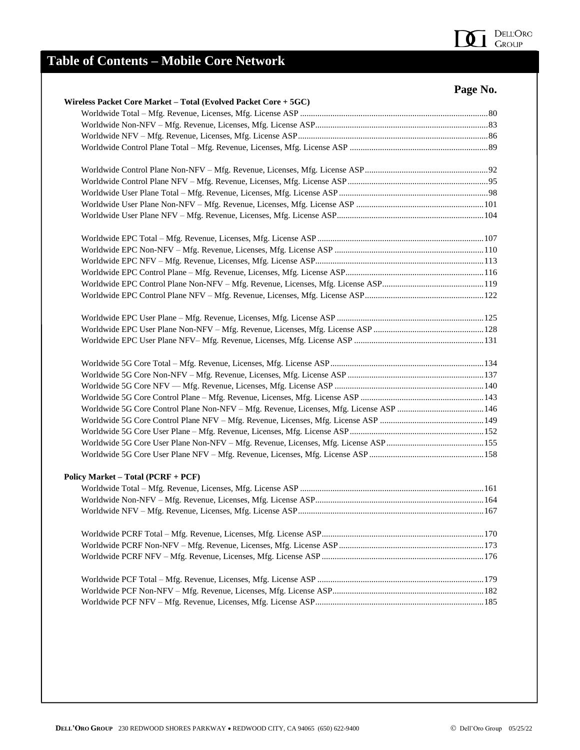

## **Table of Contents – Mobile Core Network**

|                                                                 | Page No. |
|-----------------------------------------------------------------|----------|
| Wireless Packet Core Market - Total (Evolved Packet Core + 5GC) |          |
|                                                                 |          |
|                                                                 |          |
|                                                                 |          |
|                                                                 |          |
|                                                                 |          |
|                                                                 |          |
|                                                                 |          |
|                                                                 |          |
|                                                                 |          |
|                                                                 |          |
|                                                                 |          |
|                                                                 |          |
|                                                                 |          |
|                                                                 |          |
|                                                                 |          |
|                                                                 |          |
|                                                                 |          |
|                                                                 |          |
|                                                                 |          |
|                                                                 |          |
|                                                                 |          |
|                                                                 |          |
|                                                                 |          |
|                                                                 |          |
|                                                                 |          |
|                                                                 |          |
|                                                                 |          |
| Policy Market - Total (PCRF + PCF)                              |          |
|                                                                 |          |
|                                                                 |          |
|                                                                 |          |
|                                                                 |          |
|                                                                 |          |
|                                                                 |          |
|                                                                 |          |
|                                                                 |          |
|                                                                 |          |
|                                                                 |          |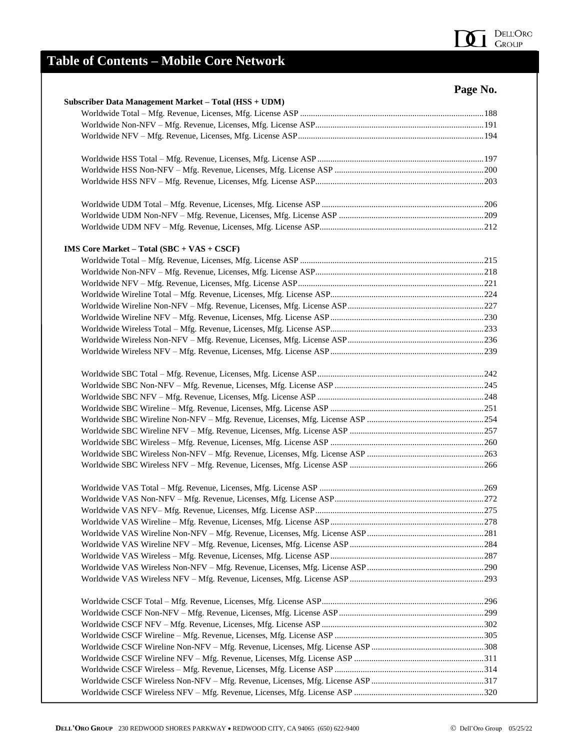

## **Table of Contents – Mobile Core Network**

|                                                       | Page No. |
|-------------------------------------------------------|----------|
| Subscriber Data Management Market - Total (HSS + UDM) |          |
|                                                       |          |
|                                                       |          |
|                                                       |          |
|                                                       |          |
|                                                       |          |
|                                                       |          |
|                                                       |          |
|                                                       |          |
|                                                       |          |
| IMS Core Market – Total $(SBC + VAS + CSCF)$          |          |
|                                                       |          |
|                                                       |          |
|                                                       |          |
|                                                       |          |
|                                                       |          |
|                                                       |          |
|                                                       |          |
|                                                       |          |
|                                                       |          |
|                                                       |          |
|                                                       |          |
|                                                       |          |
|                                                       |          |
|                                                       |          |
|                                                       |          |
|                                                       |          |
|                                                       |          |
|                                                       |          |
|                                                       |          |
|                                                       |          |
|                                                       |          |
|                                                       |          |
|                                                       |          |
|                                                       |          |
|                                                       |          |
|                                                       |          |
|                                                       |          |
|                                                       |          |
|                                                       |          |
|                                                       |          |
|                                                       |          |
|                                                       |          |
|                                                       |          |
|                                                       |          |
|                                                       |          |
|                                                       |          |
|                                                       |          |
|                                                       |          |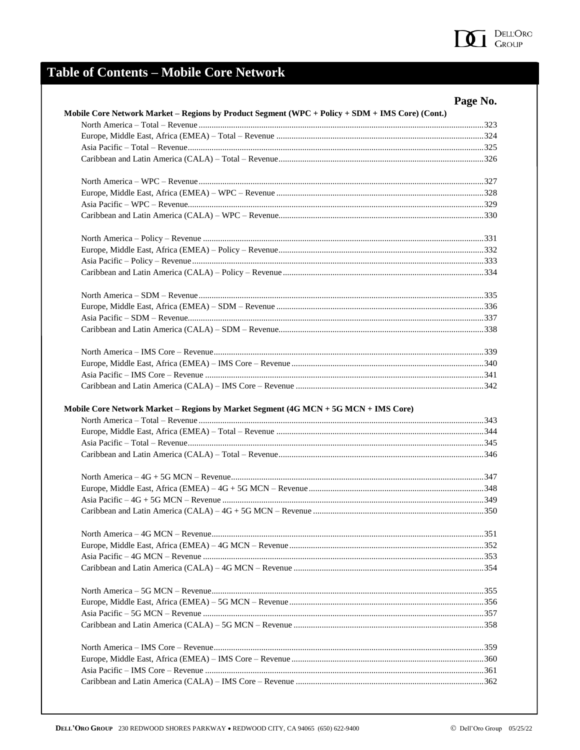

# **Table of Contents - Mobile Core Network**

|                                                                                     | Mobile Core Network Market - Regions by Product Segment (WPC + Policy + SDM + IMS Core) (Cont.) |
|-------------------------------------------------------------------------------------|-------------------------------------------------------------------------------------------------|
|                                                                                     |                                                                                                 |
|                                                                                     |                                                                                                 |
|                                                                                     |                                                                                                 |
|                                                                                     |                                                                                                 |
|                                                                                     |                                                                                                 |
|                                                                                     |                                                                                                 |
|                                                                                     |                                                                                                 |
|                                                                                     |                                                                                                 |
|                                                                                     |                                                                                                 |
|                                                                                     |                                                                                                 |
|                                                                                     |                                                                                                 |
|                                                                                     |                                                                                                 |
|                                                                                     |                                                                                                 |
|                                                                                     |                                                                                                 |
|                                                                                     |                                                                                                 |
|                                                                                     |                                                                                                 |
|                                                                                     |                                                                                                 |
|                                                                                     |                                                                                                 |
|                                                                                     |                                                                                                 |
|                                                                                     |                                                                                                 |
| Mobile Core Network Market - Regions by Market Segment (4G MCN + 5G MCN + IMS Core) |                                                                                                 |
|                                                                                     |                                                                                                 |
|                                                                                     |                                                                                                 |
|                                                                                     |                                                                                                 |
|                                                                                     |                                                                                                 |
|                                                                                     |                                                                                                 |
|                                                                                     |                                                                                                 |
|                                                                                     |                                                                                                 |
|                                                                                     |                                                                                                 |
|                                                                                     |                                                                                                 |
|                                                                                     |                                                                                                 |
|                                                                                     |                                                                                                 |
|                                                                                     |                                                                                                 |
|                                                                                     |                                                                                                 |
|                                                                                     |                                                                                                 |
|                                                                                     |                                                                                                 |
|                                                                                     |                                                                                                 |
|                                                                                     |                                                                                                 |
|                                                                                     |                                                                                                 |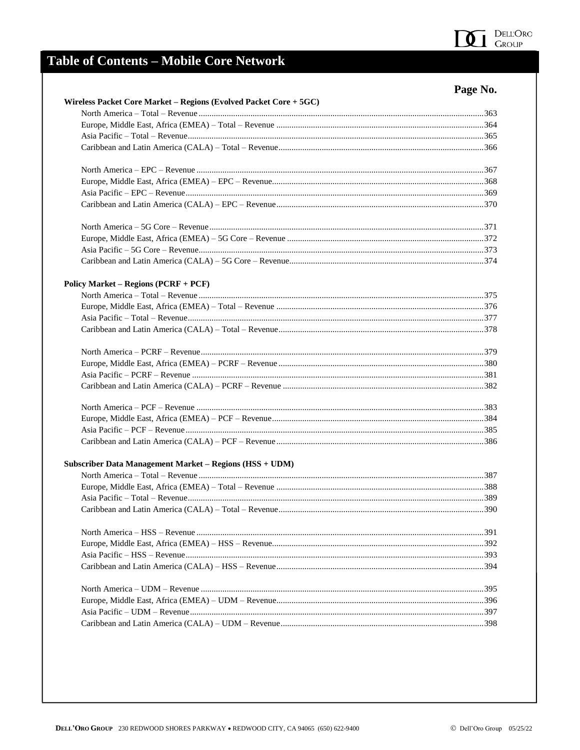

## **Table of Contents - Mobile Core Network**

|                                                                                                   | Page No. |
|---------------------------------------------------------------------------------------------------|----------|
| Wireless Packet Core Market – Regions (Evolved Packet Core + 5GC)                                 |          |
| North America – Total – Revenue <i>manualizame in the contract contract and the series</i> of 363 |          |
|                                                                                                   |          |
|                                                                                                   |          |
|                                                                                                   |          |
|                                                                                                   |          |
|                                                                                                   |          |
|                                                                                                   |          |
|                                                                                                   |          |
|                                                                                                   |          |
|                                                                                                   |          |
|                                                                                                   |          |
|                                                                                                   |          |
| Policy Market – Regions $(PCRF + PCF)$                                                            |          |
|                                                                                                   |          |
|                                                                                                   |          |
|                                                                                                   |          |
|                                                                                                   |          |
|                                                                                                   |          |
|                                                                                                   |          |
|                                                                                                   |          |
|                                                                                                   |          |
|                                                                                                   |          |
|                                                                                                   |          |
|                                                                                                   |          |
|                                                                                                   |          |
| Subscriber Data Management Market – Regions (HSS + UDM)                                           |          |
|                                                                                                   |          |
|                                                                                                   |          |
|                                                                                                   |          |
|                                                                                                   | 390 ·    |
|                                                                                                   |          |
|                                                                                                   |          |
|                                                                                                   |          |
|                                                                                                   |          |
|                                                                                                   |          |
|                                                                                                   |          |
|                                                                                                   |          |
|                                                                                                   |          |